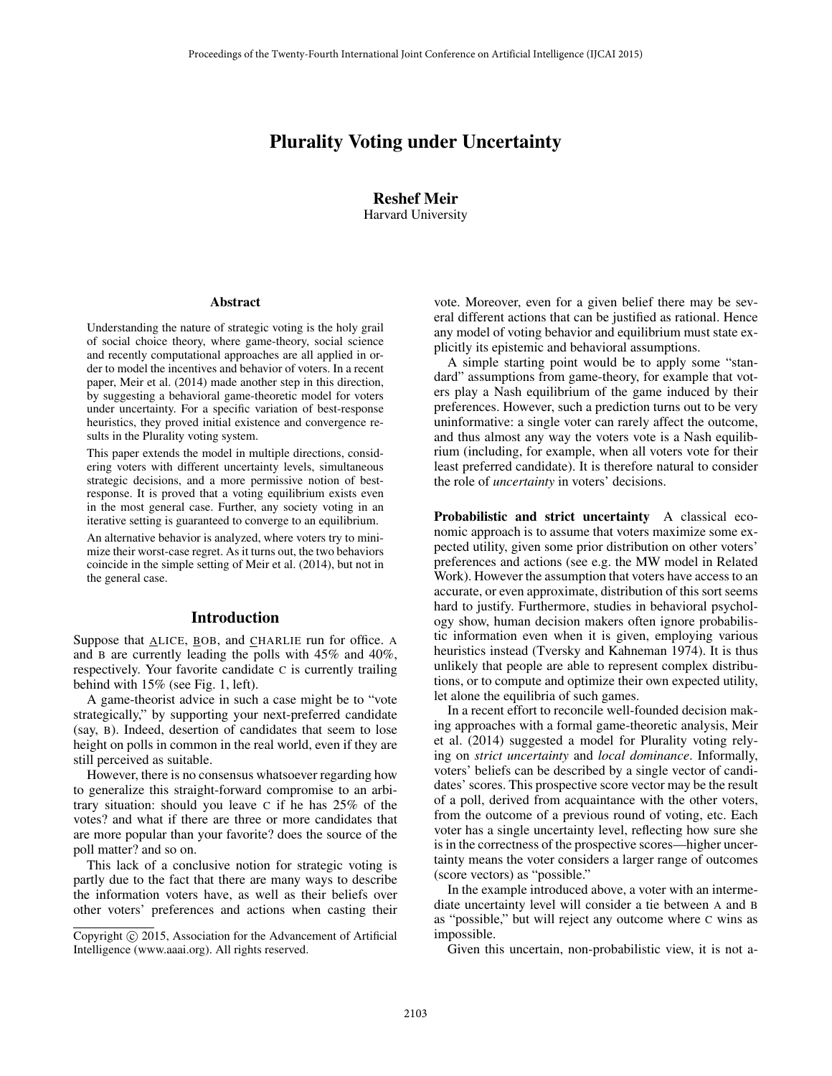# Plurality Voting under Uncertainty

Reshef Meir Harvard University

#### Abstract

Understanding the nature of strategic voting is the holy grail of social choice theory, where game-theory, social science and recently computational approaches are all applied in order to model the incentives and behavior of voters. In a recent paper, Meir et al. (2014) made another step in this direction, by suggesting a behavioral game-theoretic model for voters under uncertainty. For a specific variation of best-response heuristics, they proved initial existence and convergence results in the Plurality voting system.

This paper extends the model in multiple directions, considering voters with different uncertainty levels, simultaneous strategic decisions, and a more permissive notion of bestresponse. It is proved that a voting equilibrium exists even in the most general case. Further, any society voting in an iterative setting is guaranteed to converge to an equilibrium.

An alternative behavior is analyzed, where voters try to minimize their worst-case regret. As it turns out, the two behaviors coincide in the simple setting of Meir et al. (2014), but not in the general case.

#### Introduction

Suppose that ALICE, BOB, and CHARLIE run for office. A and B are currently leading the polls with 45% and 40%, respectively. Your favorite candidate C is currently trailing behind with 15% (see Fig. 1, left).

A game-theorist advice in such a case might be to "vote strategically," by supporting your next-preferred candidate (say, B). Indeed, desertion of candidates that seem to lose height on polls in common in the real world, even if they are still perceived as suitable.

However, there is no consensus whatsoever regarding how to generalize this straight-forward compromise to an arbitrary situation: should you leave C if he has 25% of the votes? and what if there are three or more candidates that are more popular than your favorite? does the source of the poll matter? and so on.

This lack of a conclusive notion for strategic voting is partly due to the fact that there are many ways to describe the information voters have, as well as their beliefs over other voters' preferences and actions when casting their

vote. Moreover, even for a given belief there may be several different actions that can be justified as rational. Hence any model of voting behavior and equilibrium must state explicitly its epistemic and behavioral assumptions.

A simple starting point would be to apply some "standard" assumptions from game-theory, for example that voters play a Nash equilibrium of the game induced by their preferences. However, such a prediction turns out to be very uninformative: a single voter can rarely affect the outcome, and thus almost any way the voters vote is a Nash equilibrium (including, for example, when all voters vote for their least preferred candidate). It is therefore natural to consider the role of *uncertainty* in voters' decisions.

Probabilistic and strict uncertainty A classical economic approach is to assume that voters maximize some expected utility, given some prior distribution on other voters' preferences and actions (see e.g. the MW model in Related Work). However the assumption that voters have access to an accurate, or even approximate, distribution of this sort seems hard to justify. Furthermore, studies in behavioral psychology show, human decision makers often ignore probabilistic information even when it is given, employing various heuristics instead (Tversky and Kahneman 1974). It is thus unlikely that people are able to represent complex distributions, or to compute and optimize their own expected utility, let alone the equilibria of such games.

In a recent effort to reconcile well-founded decision making approaches with a formal game-theoretic analysis, Meir et al. (2014) suggested a model for Plurality voting relying on *strict uncertainty* and *local dominance*. Informally, voters' beliefs can be described by a single vector of candidates' scores. This prospective score vector may be the result of a poll, derived from acquaintance with the other voters, from the outcome of a previous round of voting, etc. Each voter has a single uncertainty level, reflecting how sure she is in the correctness of the prospective scores—higher uncertainty means the voter considers a larger range of outcomes (score vectors) as "possible."

In the example introduced above, a voter with an intermediate uncertainty level will consider a tie between A and B as "possible," but will reject any outcome where C wins as impossible.

Given this uncertain, non-probabilistic view, it is not a-

Copyright  $\odot$  2015, Association for the Advancement of Artificial Intelligence (www.aaai.org). All rights reserved.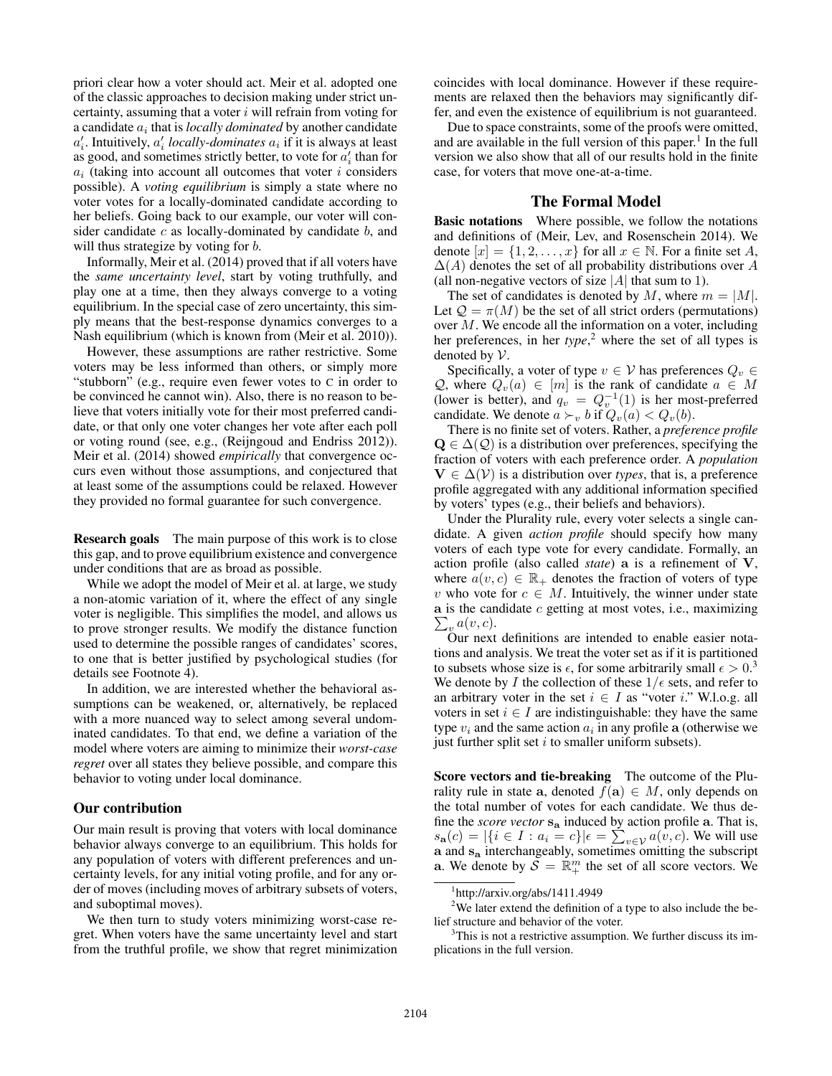priori clear how a voter should act. Meir et al. adopted one of the classic approaches to decision making under strict uncertainty, assuming that a voter  $i$  will refrain from voting for a candidate  $a_i$  that is *locally dominated* by another candidate  $a_i'$ . Intuitively,  $a_i'$  *locally-dominates*  $a_i$  if it is always at least as good, and sometimes strictly better, to vote for  $a_i'$  than for  $a_i$  (taking into account all outcomes that voter i considers possible). A *voting equilibrium* is simply a state where no voter votes for a locally-dominated candidate according to her beliefs. Going back to our example, our voter will consider candidate  $c$  as locally-dominated by candidate  $b$ , and will thus strategize by voting for *b*.

Informally, Meir et al. (2014) proved that if all voters have the *same uncertainty level*, start by voting truthfully, and play one at a time, then they always converge to a voting equilibrium. In the special case of zero uncertainty, this simply means that the best-response dynamics converges to a Nash equilibrium (which is known from (Meir et al. 2010)).

However, these assumptions are rather restrictive. Some voters may be less informed than others, or simply more "stubborn" (e.g., require even fewer votes to C in order to be convinced he cannot win). Also, there is no reason to believe that voters initially vote for their most preferred candidate, or that only one voter changes her vote after each poll or voting round (see, e.g., (Reijngoud and Endriss 2012)). Meir et al. (2014) showed *empirically* that convergence occurs even without those assumptions, and conjectured that at least some of the assumptions could be relaxed. However they provided no formal guarantee for such convergence.

Research goals The main purpose of this work is to close this gap, and to prove equilibrium existence and convergence under conditions that are as broad as possible.

While we adopt the model of Meir et al. at large, we study a non-atomic variation of it, where the effect of any single voter is negligible. This simplifies the model, and allows us to prove stronger results. We modify the distance function used to determine the possible ranges of candidates' scores, to one that is better justified by psychological studies (for details see Footnote 4).

In addition, we are interested whether the behavioral assumptions can be weakened, or, alternatively, be replaced with a more nuanced way to select among several undominated candidates. To that end, we define a variation of the model where voters are aiming to minimize their *worst-case regret* over all states they believe possible, and compare this behavior to voting under local dominance.

# Our contribution

Our main result is proving that voters with local dominance behavior always converge to an equilibrium. This holds for any population of voters with different preferences and uncertainty levels, for any initial voting profile, and for any order of moves (including moves of arbitrary subsets of voters, and suboptimal moves).

We then turn to study voters minimizing worst-case regret. When voters have the same uncertainty level and start from the truthful profile, we show that regret minimization

coincides with local dominance. However if these requirements are relaxed then the behaviors may significantly differ, and even the existence of equilibrium is not guaranteed.

Due to space constraints, some of the proofs were omitted, and are available in the full version of this paper.<sup>1</sup> In the full version we also show that all of our results hold in the finite case, for voters that move one-at-a-time.

# The Formal Model

Basic notations Where possible, we follow the notations and definitions of (Meir, Lev, and Rosenschein 2014). We denote  $[x] = \{1, 2, \ldots, x\}$  for all  $x \in \mathbb{N}$ . For a finite set A,  $\Delta(A)$  denotes the set of all probability distributions over A (all non-negative vectors of size  $|A|$  that sum to 1).

The set of candidates is denoted by M, where  $m = |M|$ . Let  $\mathcal{Q} = \pi(M)$  be the set of all strict orders (permutations) over M. We encode all the information on a voter, including her preferences, in her *type*, <sup>2</sup> where the set of all types is denoted by V.

Specifically, a voter of type  $v \in V$  has preferences  $Q_v \in V$ Q, where  $Q_v(a) \in [m]$  is the rank of candidate  $a \in M$ <br>(lower is better) and  $a_v = O^{-1}(1)$  is her most-preferred (lower is better), and  $q_v = Q_v^{-1}(1)$  is her most-preferred candidate. We denote  $a \succ_v h$  if  $Q_v(a) \lt Q_v(b)$ candidate. We denote  $a \succ_v b$  if  $Q_v(a) < Q_v(b)$ .<br>There is no finite set of voters Rather a prefer

There is no finite set of voters. Rather, a *preference profile*  $\mathbf{Q} \in \Delta(\mathcal{Q})$  is a distribution over preferences, specifying the fraction of voters with each preference order. A *population*  **is a distribution over** *types***, that is, a preference** profile aggregated with any additional information specified by voters' types (e.g., their beliefs and behaviors).

Under the Plurality rule, every voter selects a single candidate. A given *action profile* should specify how many voters of each type vote for every candidate. Formally, an action profile (also called *state*) **a** is a refinement of **V**, where  $a(v, c) \in \mathbb{R}_+$  denotes the fraction of voters of type v who vote for  $c \in M$ . Intuitively, the winner under state **a** is the candidate c getting at most votes, i.e., maximizing  $\sum_{v} a(v, c)$ .<br>Our next

Our next definitions are intended to enable easier notations and analysis. We treat the voter set as if it is partitioned to subsets whose size is  $\epsilon$ , for some arbitrarily small  $\epsilon > 0^3$ .<br>We denote by *I* the collection of these  $1/\epsilon$  sets, and refer to We denote by I the collection of these  $1/\epsilon$  sets, and refer to an arbitrary voter in the set  $i \in I$  as "voter i." W.l.o.g. all voters in set  $i \in I$  are indistinguishable: they have the same type  $v_i$  and the same action  $a_i$  in any profile **a** (otherwise we just further split set  $i$  to smaller uniform subsets).

Score vectors and tie-breaking The outcome of the Plurality rule in state **a**, denoted  $f(\mathbf{a}) \in M$ , only depends on the total number of votes for each candidate. We thus define the *score vector* **s<sup>a</sup>** induced by action profile **a**. That is,  $s_{\mathbf{a}}(c) = |\{i \in I : a_i = c\}| \epsilon = \sum_{v \in V} a(v, c)$ . We will use a and  $s_{\mathbf{a}}$  interchangeably, sometimes omitting the subscript **a**. We denote by  $S = \mathbb{R}^m_+$  the set of all score vectors. We

<sup>1</sup> http://arxiv.org/abs/1411.4949

 $2$ We later extend the definition of a type to also include the belief structure and behavior of the voter.

<sup>&</sup>lt;sup>3</sup>This is not a restrictive assumption. We further discuss its implications in the full version.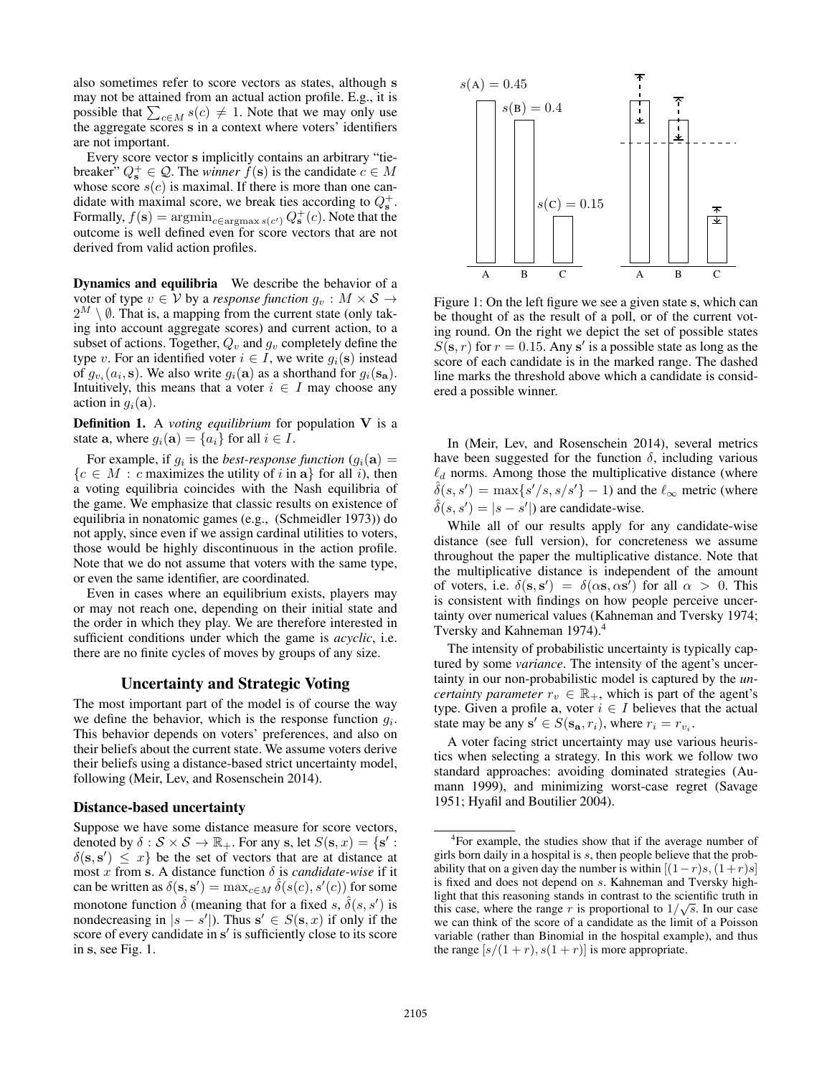also sometimes refer to score vectors as states, although **s** may not be attained from an actual action profile. E.g., it is possible that  $\sum_{c \in M} s(c) \neq 1$ . Note that we may only use the aggregate scores s in a context where voters' identifiers the aggregate scores **s** in a context where voters' identifiers are not important.

Every score vector **s** implicitly contains an arbitrary "tiebreaker"  $Q_s^+ \in \mathcal{Q}$ . The *winner*  $f(s)$  is the candidate  $c \in M$ <br>whose score  $s(c)$  is maximal. If there is more than one canwhose score  $s(c)$  is maximal. If there is more than one candidate with maximal score, we break ties according to  $Q_s^+$ . Formally,  $f(\mathbf{s}) = \operatorname{argmin}_{c \in \operatorname{argmax} s(c')} Q_{\mathbf{s}}^+(c)$ . Note that the outcome is well defined even for score vectors that are not outcome is well defined even for score vectors that are not derived from valid action profiles.

Dynamics and equilibria We describe the behavior of a voter of type  $v \in V$  by a *response function*  $g_v : M \times S \rightarrow$  $2^M \setminus \emptyset$ . That is, a mapping from the current state (only taking into account aggregate scores) and current action, to a subset of actions. Together,  $Q_v$  and  $g_v$  completely define the type v. For an identified voter  $i \in I$ , we write  $g_i(\mathbf{s})$  instead of  $g_{v_i}(a_i, \mathbf{s})$ . We also write  $g_i(\mathbf{a})$  as a shorthand for  $g_i(\mathbf{s}_\mathbf{a})$ . Intuitively, this means that a voter  $i \in I$  may choose any action in  $g_i(\mathbf{a})$ .

Definition 1. A *voting equilibrium* for population **V** is a state **a**, where  $g_i(\mathbf{a}) = \{a_i\}$  for all  $i \in I$ .

For example, if  $g_i$  is the *best-response function*  $(g_i(\mathbf{a})) =$  ${c \in M : c \text{ maximizes the utility of } i \text{ in a}}$  for all *i*), then a voting equilibria coincides with the Nash equilibria of the game. We emphasize that classic results on existence of equilibria in nonatomic games (e.g., (Schmeidler 1973)) do not apply, since even if we assign cardinal utilities to voters, those would be highly discontinuous in the action profile. Note that we do not assume that voters with the same type, or even the same identifier, are coordinated.

Even in cases where an equilibrium exists, players may or may not reach one, depending on their initial state and the order in which they play. We are therefore interested in sufficient conditions under which the game is *acyclic*, i.e. there are no finite cycles of moves by groups of any size.

#### Uncertainty and Strategic Voting

The most important part of the model is of course the way we define the behavior, which is the response function  $q_i$ . This behavior depends on voters' preferences, and also on their beliefs about the current state. We assume voters derive their beliefs using a distance-based strict uncertainty model, following (Meir, Lev, and Rosenschein 2014).

#### Distance-based uncertainty

Suppose we have some distance measure for score vectors, denoted by  $\delta : \mathcal{S} \times \mathcal{S} \to \mathbb{R}_+$ . For any **s**, let  $S(\mathbf{s}, x) = \{\mathbf{s}'\}$ <br> $\delta(\mathbf{s}, \mathbf{s}') \leq x\}$  be the set of vectors that are at distance  $\delta$ (s, s')  $\leq x$ } be the set of vectors that are at distance at most *x* from s. A distance function  $\delta$  is *candidate-wise* if it most x from **s**. A distance function  $\delta$  is *candidate-wise* if it can be written as  $\delta(\mathbf{s}, \mathbf{s}') = \max_{c \in M} \delta(s(c), s'(c))$  for some monotone function  $\hat{\delta}$  (meaning that for a fixed  $s, \hat{\delta}(s, s')$ ) is monotone function  $\delta$  (meaning that for a fixed s,  $\delta(s, s')$  is<br>nondecreasing in  $|s - s'|$ ) Thus  $s' \in S(s, r)$  if only if the nondecreasing in  $|s - s'|$ ). Thus  $s' \in S(s, x)$  if only if the score of every candidate in  $s'$  is sufficiently close to its score score of every candidate in s' is sufficiently close to its score in **s**, see Fig. 1.



Figure 1: On the left figure we see a given state **s**, which can be thought of as the result of a poll, or of the current voting round. On the right we depict the set of possible states  $S(\mathbf{s}, r)$  for  $r = 0.15$ . Any  $\mathbf{s}'$  is a possible state as long as the score of each candidate is in the marked range. The dashed score of each candidate is in the marked range. The dashed line marks the threshold above which a candidate is considered a possible winner.

In (Meir, Lev, and Rosenschein 2014), several metrics have been suggested for the function  $\delta$ , including various  $\ell_d$  norms. Among those the multiplicative distance (where  $\delta(s, s') = \max\{s'/s, s/s'\} - 1$  and the  $\ell_{\infty}$  metric (where  $\delta(s, s') = |s - s'|$  are candidate-wise.<br>While all of our results early for

While all of our results apply for any candidate-wise distance (see full version), for concreteness we assume throughout the paper the multiplicative distance. Note that the multiplicative distance is independent of the amount of voters, i.e.  $\delta(\mathbf{s}, \mathbf{s}') = \delta(\alpha \mathbf{s}, \alpha \mathbf{s}')$  for all  $\alpha > 0$ . This is consistent with findings on how people perceive uncertainty over numerical values (Kahneman and Tversky 1974; Tversky and Kahneman 1974).<sup>4</sup>

The intensity of probabilistic uncertainty is typically captured by some *variance*. The intensity of the agent's uncertainty in our non-probabilistic model is captured by the *uncertainty parameter*  $r_v \in \mathbb{R}_+$ , which is part of the agent's type. Given a profile **a**, voter  $i \in I$  believes that the actual state may be any  $\mathbf{s}' \in S(\mathbf{s}_a, r_i)$ , where  $r_i = r_{v_i}$ .

A voter facing strict uncertainty may use various heuristics when selecting a strategy. In this work we follow two standard approaches: avoiding dominated strategies (Aumann 1999), and minimizing worst-case regret (Savage 1951; Hyafil and Boutilier 2004).

<sup>&</sup>lt;sup>4</sup>For example, the studies show that if the average number of girls born daily in a hospital is s, then people believe that the probability that on a given day the number is within  $[(1-r)s,(1+r)s]$ is fixed and does not depend on s. Kahneman and Tversky highlight that this reasoning stands in contrast to the scientific truth in this case, where the range r is proportional to  $1/\sqrt{s}$ . In our case we can think of the score of a candidate as the limit of a Poisson variable (rather than Binomial in the hospital example), and thus the range  $[s/(1+r), s(1+r)]$  is more appropriate.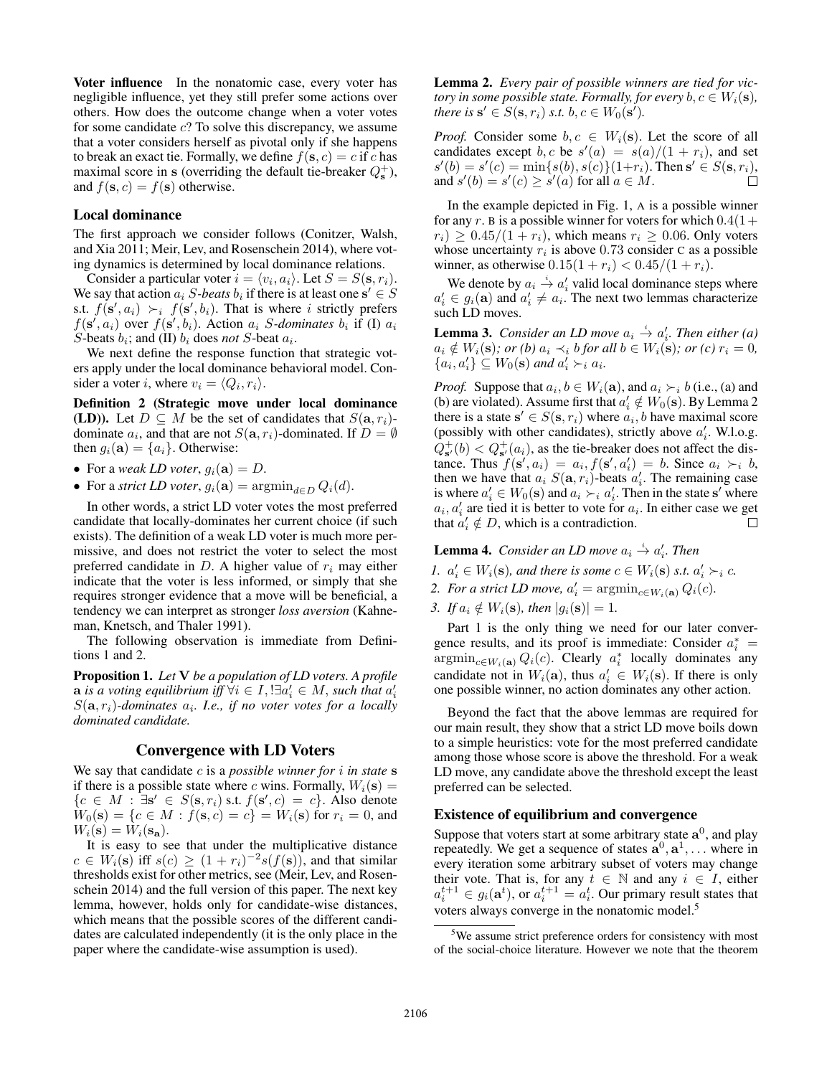Voter influence In the nonatomic case, every voter has negligible influence, yet they still prefer some actions over others. How does the outcome change when a voter votes for some candidate  $c$ ? To solve this discrepancy, we assume that a voter considers herself as pivotal only if she happens to break an exact tie. Formally, we define  $f(\mathbf{s}, c) = c$  if c has maximal score in **s** (overriding the default tie-breaker  $Q_s^+$ ), and  $f(\mathbf{s}, c) = f(\mathbf{s})$  otherwise.

## Local dominance

The first approach we consider follows (Conitzer, Walsh, and Xia 2011; Meir, Lev, and Rosenschein 2014), where voting dynamics is determined by local dominance relations.

Consider a particular voter  $i = \langle v_i, a_i \rangle$ . Let  $S = S(\mathbf{s}, r_i)$ . We say that action  $a_i$  S-beats  $b_i$  if there is at least one  $\mathbf{s}' \in S$ s.t.  $f(\mathbf{s}', a_i) \succ_i f(\mathbf{s}', b_i)$ . That is where *i* strictly prefers  $f(\mathbf{s}' \mid a_i)$  over  $f(\mathbf{s}' \mid b_i)$ . Action *a*<sub>i</sub> *S*-*dominates b*<sub>i</sub> if (I) *a*<sub>i</sub>  $f(\mathbf{s}', a_i)$  over  $f(\mathbf{s}', b_i)$ . Action  $a_i$  *S*-dominates  $b_i$  if (I)  $a_i$ <br>*S*-beats  $b_i$ : and (II)  $b_i$  does *not S*-beat  $a_i$ S-beats  $b_i$ ; and (II)  $b_i$  does *not* S-beat  $a_i$ .

We next define the response function that strategic voters apply under the local dominance behavioral model. Consider a voter *i*, where  $v_i = \langle Q_i, r_i \rangle$ .

Definition 2 (Strategic move under local dominance **(LD)).** Let  $D \subseteq M$  be the set of candidates that  $S(\mathbf{a}, r_i)$ dominate  $a_i$ , and that are not  $S(\mathbf{a}, r_i)$ -dominated. If  $D = \emptyset$ then  $g_i(\mathbf{a}) = \{a_i\}$ . Otherwise:

- For a *weak LD voter*,  $g_i(\mathbf{a}) = D$ .
- For a *strict LD voter*,  $g_i(\mathbf{a}) = \operatorname{argmin}_{d \in D} Q_i(d)$ .

In other words, a strict LD voter votes the most preferred candidate that locally-dominates her current choice (if such exists). The definition of a weak LD voter is much more permissive, and does not restrict the voter to select the most preferred candidate in  $D$ . A higher value of  $r_i$  may either indicate that the voter is less informed, or simply that she requires stronger evidence that a move will be beneficial, a tendency we can interpret as stronger *loss aversion* (Kahneman, Knetsch, and Thaler 1991).

The following observation is immediate from Definitions 1 and 2.

Proposition 1. *Let* **V** *be a population of LD voters. A profile* **a** *is a voting equilibrium iff*  $\forall i \in I$ ,  $\exists a_i' \in M$ , *such that*  $a_i'$ , *S*(a *r<sub>i</sub>*)-*dominates*  $a_i$ . *Le if no voter votes for a locally*  $S(\mathbf{a}, r_i)$ -dominates  $a_i$ . I.e., if no voter votes for a locally *dominated candidate.*

# Convergence with LD Voters

We say that candidate c is a *possible winner for* i *in state* **s** if there is a possible state where c wins. Formally,  $W_i(\mathbf{s}) =$  ${c \in M : \exists s' \in S(s, r_i) \text{ s.t. } f(s', c) = c}.$  Also denote  $W_0(s) = {c \in M : f(s, c) = c} = W_s(s)$  for  $r_i = 0$  and  $W_0(s) = \{c \in M : f(s, c) = c\} = W_i(s)$  for  $r_i = 0$ , and  $W_i(\mathbf{s}) = W_i(\mathbf{s}_\mathbf{a}).$ 

It is easy to see that under the multiplicative distance  $c \in W_i(\mathbf{s})$  iff  $s(c) \geq (1+r_i)^{-2} s(f(\mathbf{s}))$ , and that similar thresholds exist for other metrics, see (Meir, Lev, and Rosenschein 2014) and the full version of this paper. The next key lemma, however, holds only for candidate-wise distances, which means that the possible scores of the different candidates are calculated independently (it is the only place in the paper where the candidate-wise assumption is used).

Lemma 2. *Every pair of possible winners are tied for victory in some possible state. Formally, for every*  $b, c \in W_i(\mathbf{s})$ *, there is*  $\mathbf{s}' \in S(\mathbf{s}, r_i)$  *s.t.*  $b, c \in W_0(\mathbf{s}')$ .

*Proof.* Consider some  $b, c \in W_i(\mathbf{s})$ . Let the score of all candidates except b, c be  $s'(a) = s(a)/(1 + r_i)$ , and set  $s'(b) = s'(c) = \min\{s(b) \mid s(c)\}(1+r_i)$ . Then  $s' \in S(s, r_i)$  $s'(b) = s'(c) = \min\{s(b), s(c)\}(1+r_i)$ . Then  $s' \in S(s, r_i)$ ,<br>and  $s'(b) = s'(c) > s'(a)$  for all  $a \in M$ and  $s'(b) = s'(c) \geq s'(a)$  for all  $a \in M$ .

In the example depicted in Fig. 1, A is a possible winner for any r. B is a possible winner for voters for which  $0.4(1+$  $r_i) \geq 0.45/(1 + r_i)$ , which means  $r_i \geq 0.06$ . Only voters whose uncertainty  $r_i$  is above 0.73 consider C as a possible winner, as otherwise  $0.15(1 + r_i) < 0.45/(1 + r_i)$ .

We denote by  $a_i \stackrel{i}{\rightarrow} a'_i$  valid local dominance steps where  $a'_i \in g_i(\mathbf{a})$  and  $a'_i \neq a_i$ . The next two lemmas characterize such LD moves such LD moves.

**Lemma 3.** Consider an LD move  $a_i \stackrel{i}{\rightarrow} a'_i$ . Then either (a)  $a_i \notin W_i(\mathbf{s})$ *; or (b)*  $a_i \prec_i b$  *for all*  $b \in W_i(\mathbf{s})$ *; or (c)*  $r_i = 0$ *,*  ${a_i, a'_i} \subseteq W_0(\mathbf{s})$  and  $a'_i \succ_i a_i$ .

*Proof.* Suppose that  $a_i, b \in W_i(\mathbf{a})$ , and  $a_i \succ_i b$  (i.e., (a) and (b) are violated). Assume first that  $a'_i \notin W_0(\mathbf{s})$ . By Lemma 2 there is a state  $\mathbf{s}' \in S(\mathbf{s}, r_i)$  where  $a_i$ , b have maximal score there is a state  $s' \in S(s, r_i)$  where  $a_i, b$  have maximal score (possibly with other candidates) strictly above  $a'$ . W l o g (possibly with other candidates), strictly above  $a'_i$ . W.l.o.g.  $Q_{\mathbf{s}'}^+(b) < Q_{\mathbf{s}'}^+(a_i)$ , as the tie-breaker does not affect the distance Thus  $f(\mathbf{s}' \mid a_i) = a_i \cdot f(\mathbf{s}' \mid a'_i) = b$ . Since  $a_i \succ b$ tance. Thus  $f(\mathbf{s}', a_i) = a_i, f(\mathbf{s}', a'_i) = b$ . Since  $a_i \succ_i b$ , then we have that  $a_i S(\mathbf{a} | r_i)$ -beats  $a'_i$ . The remaining case then we have that  $a_i S(\mathbf{a}, r_i)$ -beats  $a'_i$ . The remaining case<br>is where  $a' \in W_0(\mathbf{s})$  and  $a_i \succ a'$ . Then in the state s' where is where  $a'_i \in W_0(\mathbf{s})$  and  $a_i \succ_i a'_i$ . Then in the state s' where  $a_i, a'_i$  are tied it is better to yote for  $a_i$ . In either case we get  $a_i, a'_i$  are tied it is better to vote for  $a_i$ . In either case we get that  $a'_i \notin D$ , which is a contradiction.  $\Box$ 

**Lemma 4.** Consider an LD move  $a_i \stackrel{i}{\rightarrow} a'_i$ . Then

- *1.*  $a'_i \in W_i(\mathbf{s})$ , and there is some  $c \in W_i(\mathbf{s})$  s.t.  $a'_i \succ_i c$ .<br> **2.** For a strict *I* D move  $a' = \operatorname{arcmin} O_i(a)$ .
- 2. For a strict LD move,  $a'_i = \operatorname{argmin}_{c \in W_i(\mathbf{a})} Q_i(c)$ .
- *3.* If  $a_i \notin W_i(\mathbf{s})$ , then  $|g_i(\mathbf{s})| = 1$ .

Part 1 is the only thing we need for our later convergence results, and its proof is immediate: Consider  $a_i^* =$ gence results, and its proof is immediate: Consider  $a_i^* = \operatorname{argmin}_{c \in W_i(\mathbf{a})} Q_i(c)$ . Clearly  $a_i^*$  locally dominates any condidate not in  $W_i(\mathbf{a})$ , thus  $c' \in W_i(c)$ . If there is only candidate not in  $W_i(\mathbf{a})$ , thus  $a'_i \in W_i(\mathbf{s})$ . If there is only one possible winner no action dominates any other action one possible winner, no action dominates any other action.

Beyond the fact that the above lemmas are required for our main result, they show that a strict LD move boils down to a simple heuristics: vote for the most preferred candidate among those whose score is above the threshold. For a weak LD move, any candidate above the threshold except the least preferred can be selected.

#### Existence of equilibrium and convergence

Suppose that voters start at some arbitrary state  $a^0$ , and play repeatedly. We get a sequence of states  $a^0$ ,  $a^1$ , ... where in every iteration some arbitrary subset of voters may change their vote. That is, for any  $t \in \mathbb{N}$  and any  $i \in I$ , either  $a_i^{t+1} \in g_i(\mathbf{a}^t)$ , or  $a_i^{t+1} = a_i^t$ . Our primary result states that<br>voters always converge in the nonatomic model <sup>5</sup> voters always converge in the nonatomic model.5

<sup>&</sup>lt;sup>5</sup>We assume strict preference orders for consistency with most of the social-choice literature. However we note that the theorem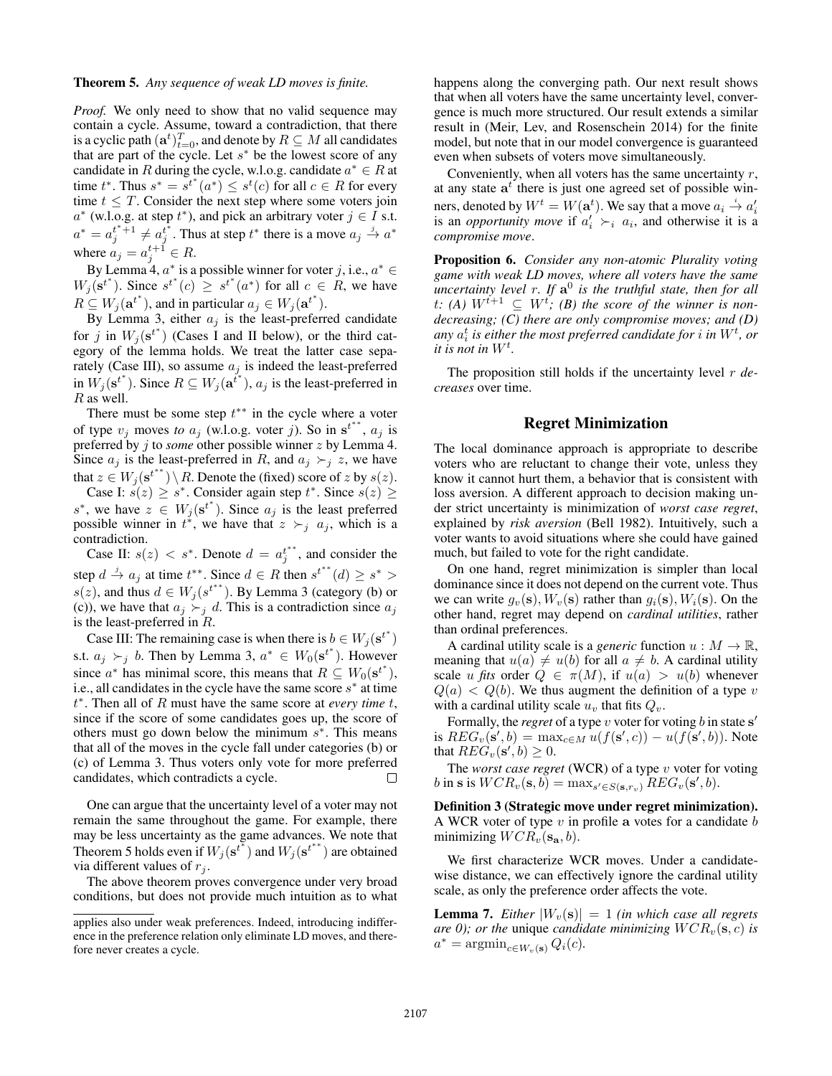*Proof.* We only need to show that no valid sequence may contain a cycle. Assume, toward a contradiction, that there is a cyclic path  $(\mathbf{a}^t)_{t=0}^T$ , and denote by  $R \subseteq M$  all candidates that are part of the cycle Let  $s^*$  be the lowest score of any that are part of the cycle. Let  $s^*$  be the lowest score of any candidate in R during the cycle, w.l.o.g. candidate  $a^* \in R$  at time  $t^*$ . Thus  $s^* = s^{t^*}(a^*) \leq s^t(c)$  for all  $c \in R$  for every time  $t < T$  Consider the next step where some voters join time  $t \leq T$ . Consider the next step where some voters join  $a^*$  (w.l.o.g. at step  $t^*$ ), and pick an arbitrary voter  $j \in I$  s.t.  $a^* = a_j^{t^*+1} \neq a_j^{t^*}$ . Thus at step  $t^*$  there is a move  $a_j \stackrel{j}{\rightarrow} a^*$ where  $a_j = a_j^{t+1} \in R$ .<br>By Lamma *A*  $a^*$  is a

By Lemma 4,  $a^*$  is a possible winner for voter j, i.e.,  $a^* \in$  $W_j(\mathbf{s}^{t^*})$ . Since  $s^{t^*}(c) \geq s^{t^*}(a^*)$  for all  $c \in R$ , we have  $R \subseteq W_j(\mathbf{a}^{t^*})$ , and in particular  $a_j \in W_j(\mathbf{a}^{t^*})$ .<br>By Lemma 3 either  $a_{j}$  is the least-preferr

By Lemma 3, either  $a_j$  is the least-preferred candidate for j in  $W_j(\mathbf{s}^{t^*})$  (Cases I and II below), or the third cat-<br>egory of the lemma holds. We treat the latter case senaegory of the lemma holds. We treat the latter case separately (Case III), so assume  $a_j$  is indeed the least-preferred in  $W_j(\mathbf{s}^{t^*})$ . Since  $R \subseteq W_j(\mathbf{a}^{t^*})$ ,  $a_j$  is the least-preferred in  $R$  as well R as well.

There must be some step  $t^{**}$  in the cycle where a voter of type  $v_j$  moves *to*  $a_j$  (w.l.o.g. voter j). So in  $\mathbf{s}^{t^{**}}$ ,  $a_j$  is preferred by j to *some* other possible winner z by Lemma 4. Since  $a_j$  is the least-preferred in R, and  $a_j \succ_j z$ , we have that  $z \in W_j(\mathbf{s}^{t^{**}}) \setminus R$ . Denote the (fixed) score of z by  $s(z)$ .

Case I:  $s(z) \geq s^*$ . Consider again step  $t^*$ . Since  $s(z) \geq$ <br>we have  $z \in W_s(s^{t^*})$ . Since a is the least preferred s<sup>∗</sup>, we have  $z \in W_j(\mathbf{s}^{t^*})$ . Since  $a_j$  is the least preferred possible winner in  $t^*$  we have that  $z \succ a_j$  as which is a possible winner in  $t^*$ , we have that  $z \succ_i a_j$ , which is a contradiction.

Case II:  $s(z) < s^*$ . Denote  $d = a_j^{t^{**}}$ , and consider the step  $d \stackrel{j}{\rightarrow} a_j$  at time  $t^{**}$ . Since  $d \in R$  then  $s^{t^{**}}(d) \geq s^* >$ <br> $e(s)$  and thus  $d \in W_e(s^{t^{**}})$ . By Lamma 3 (catagory (b) or s(z), and thus  $d \in W_i(s^{t^{**}})$ . By Lemma 3 (category (b) or (c)), we have that  $a_j \succ_j d$ . This is a contradiction since  $a_j$ is the least-preferred in  $R$ .

Case III: The remaining case is when there is  $b \in W_j(\mathbf{s}^{t^*})$ s.t.  $a_j \succ_j b$ . Then by Lemma 3,  $a^* \in W_0(\mathbf{s}^{t^*})$ . However since  $a^*$  has minimal score, this means that  $R \subseteq W_0(\mathbf{s}^{t^*})$ , i.e. all candidates in the cycle have the same score  $\mathbf{s}^*$  at time i.e., all candidates in the cycle have the same score  $s<sup>*</sup>$  at time t <sup>∗</sup>. Then all of R must have the same score at *every time* t, since if the score of some candidates goes up, the score of others must go down below the minimum  $s^*$ . This means that all of the moves in the cycle fall under categories (b) or (c) of Lemma 3. Thus voters only vote for more preferred candidates, which contradicts a cycle.  $\Box$ 

One can argue that the uncertainty level of a voter may not remain the same throughout the game. For example, there may be less uncertainty as the game advances. We note that Theorem 5 holds even if  $W_j(\mathbf{s}^{t^*})$  and  $W_j(\mathbf{s}^{t^{**}})$  are obtained via different values of  $r_i$ . via different values of  $r_i$ .

The above theorem proves convergence under very broad conditions, but does not provide much intuition as to what happens along the converging path. Our next result shows that when all voters have the same uncertainty level, convergence is much more structured. Our result extends a similar result in (Meir, Lev, and Rosenschein 2014) for the finite model, but note that in our model convergence is guaranteed even when subsets of voters move simultaneously.

Conveniently, when all voters has the same uncertainty  $r$ , at any state  $a<sup>t</sup>$  there is just one agreed set of possible winners, denoted by  $W^t = W(\mathbf{a}^t)$ . We say that a move  $a_i \stackrel{\text{d}}{\rightarrow} a'_i$  is an *opportunity move* if  $a'_i \succ a_i$  and otherwise it is a is an *opportunity move* if  $a'_i \succ_i a_i$ , and otherwise it is a *compromise move*.

Proposition 6. *Consider any non-atomic Plurality voting game with weak LD moves, where all voters have the same uncertainty level r. If*  $\mathbf{a}^0$  *is the truthful state, then for all*  $t: (A) W^{t+1} \subseteq W^t$ ; (B) the score of the winner is non*decreasing; (C) there are only compromise moves; and (D)* any  $a_i^t$  is either the most preferred candidate for *i* in  $W^t$ , or *it is not in*  $W^t$ .

The proposition still holds if the uncertainty level r *decreases* over time.

# Regret Minimization

The local dominance approach is appropriate to describe voters who are reluctant to change their vote, unless they know it cannot hurt them, a behavior that is consistent with loss aversion. A different approach to decision making under strict uncertainty is minimization of *worst case regret*, explained by *risk aversion* (Bell 1982). Intuitively, such a voter wants to avoid situations where she could have gained much, but failed to vote for the right candidate.

On one hand, regret minimization is simpler than local dominance since it does not depend on the current vote. Thus we can write  $g_v(\mathbf{s}), W_v(\mathbf{s})$  rather than  $g_i(\mathbf{s}), W_i(\mathbf{s})$ . On the other hand, regret may depend on *cardinal utilities*, rather than ordinal preferences.

A cardinal utility scale is a *generic* function  $u : M \to \mathbb{R}$ , meaning that  $u(a) \neq u(b)$  for all  $a \neq b$ . A cardinal utility scale u fits order  $Q \in \pi(M)$ , if  $u(a) > u(b)$  whenever  $Q(a) < Q(b)$ . We thus augment the definition of a type v with a cardinal utility scale  $u<sub>v</sub>$  that fits  $Q<sub>v</sub>$ .

Formally, the *regret* of a type v voter for voting b in state **s** is  $REG_v(\mathbf{s}', b) = \max_{c \in M} u(f(\mathbf{s}', c)) - u(f(\mathbf{s}', b))$ . Note that  $REG_v(\mathbf{s}', b) \geq 0$ .<br>The worst case **rear.** 

The *worst case regret* (WCR) of a type v voter for voting b in **s** is  $WCR_v(\mathbf{s}, b) = \max_{s' \in S(\mathbf{s}, r_v)} REG_v(\mathbf{s}', b)$ .

Definition 3 (Strategic move under regret minimization). A WCR voter of type v in profile **a** votes for a candidate b minimizing  $WCR_v(\mathbf{s}_a, b)$ .

We first characterize WCR moves. Under a candidatewise distance, we can effectively ignore the cardinal utility scale, as only the preference order affects the vote.

**Lemma 7.** *Either*  $|W_n(\mathbf{s})| = 1$  *(in which case all regrets are 0); or the unique candidate minimizing*  $WCR_v(s, c)$  *is*  $a^* = \operatorname{argmin}_{c \in W_v(\mathbf{s})} Q_i(c)$ .

applies also under weak preferences. Indeed, introducing indifference in the preference relation only eliminate LD moves, and therefore never creates a cycle.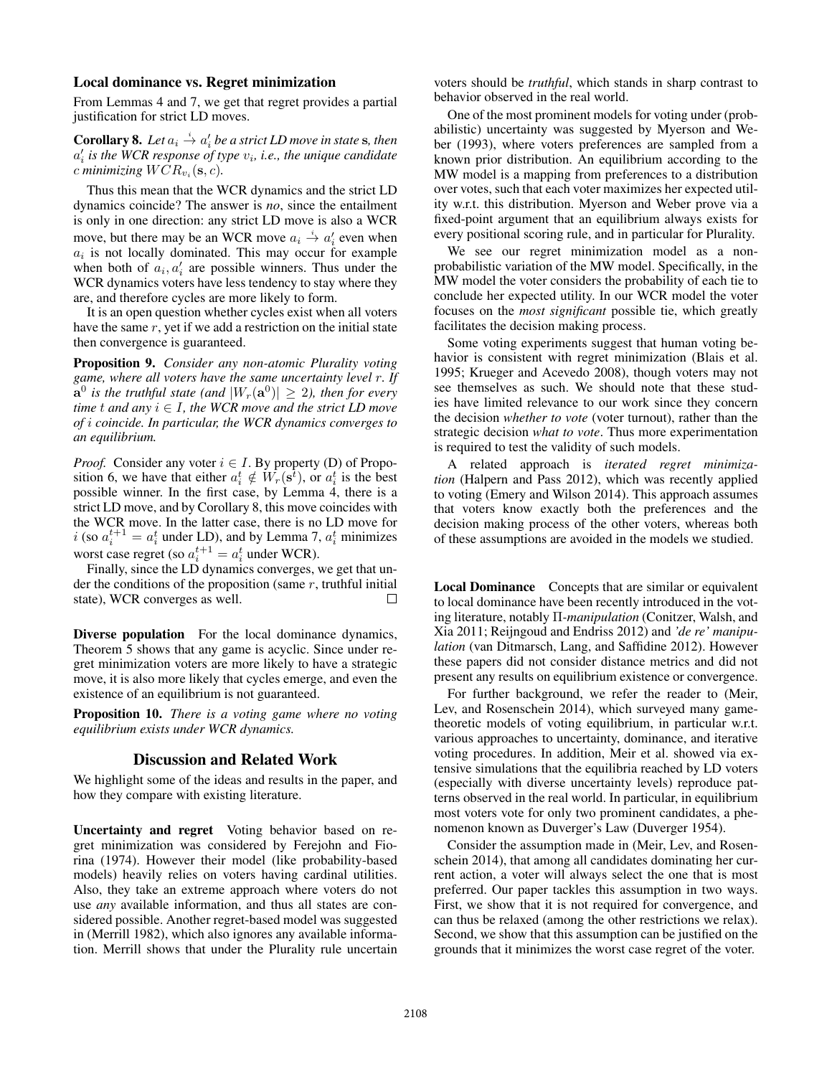#### Local dominance vs. Regret minimization

From Lemmas 4 and 7, we get that regret provides a partial justification for strict LD moves.

**Corollary 8.** Let  $a_i \stackrel{i}{\rightarrow} a'_i$  be a strict LD move in state s, then  $a_i$  is the WCR response of type  $v_i$ , i.e., the unique candidate *c* minimizing  $WCR_{v_i}(\mathbf{s}, c)$ .

Thus this mean that the WCR dynamics and the strict LD dynamics coincide? The answer is *no*, since the entailment is only in one direction: any strict LD move is also a WCR move, but there may be an WCR move  $a_i \stackrel{i}{\rightarrow} a'_i$  even when  $a_i$  is not locally dominated. This may occur for example when both of  $a_i, a'_i$  are possible winners. Thus under the WCR dynamics voters have less tendency to stay where they are, and therefore cycles are more likely to form.

It is an open question whether cycles exist when all voters have the same  $r$ , yet if we add a restriction on the initial state then convergence is guaranteed.

Proposition 9. *Consider any non-atomic Plurality voting game, where all voters have the same uncertainty level* r*. If*  $\mathbf{a}^0$  *is the truthful state (and*  $|W_r(\mathbf{a}^0)| \geq 2$ *), then for every time*  $t$  *and any*  $i \in I$ *, the WCR move and the strict LD move of* i *coincide. In particular, the WCR dynamics converges to an equilibrium.*

*Proof.* Consider any voter  $i \in I$ . By property (D) of Proposition 6, we have that either  $a_i^t \notin W_r(\mathbf{s}^t)$ , or  $a_i^t$  is the best<br>possible winner. In the first case, by Lemma 4, there is a possible winner. In the first case, by Lemma 4, there is a strict LD move, and by Corollary 8, this move coincides with the WCR move. In the latter case, there is no LD move for i (so  $a_i^{t+1} = a_i^t$  under LD), and by Lemma 7,  $a_i^t$  minimizes<br>worst case regret (so  $a_i^{t+1} = a_i^t$  under WCP) worst case regret (so  $a_i^{t+1} = a_i^t$  under WCR).<br>Finally since the LD dynamics converges

Finally, since the LD dynamics converges, we get that under the conditions of the proposition (same  $r$ , truthful initial state), WCR converges as well.  $\Box$ 

Diverse population For the local dominance dynamics, Theorem 5 shows that any game is acyclic. Since under regret minimization voters are more likely to have a strategic move, it is also more likely that cycles emerge, and even the existence of an equilibrium is not guaranteed.

Proposition 10. *There is a voting game where no voting equilibrium exists under WCR dynamics.*

## Discussion and Related Work

We highlight some of the ideas and results in the paper, and how they compare with existing literature.

Uncertainty and regret Voting behavior based on regret minimization was considered by Ferejohn and Fiorina (1974). However their model (like probability-based models) heavily relies on voters having cardinal utilities. Also, they take an extreme approach where voters do not use *any* available information, and thus all states are considered possible. Another regret-based model was suggested in (Merrill 1982), which also ignores any available information. Merrill shows that under the Plurality rule uncertain

voters should be *truthful*, which stands in sharp contrast to behavior observed in the real world.

One of the most prominent models for voting under (probabilistic) uncertainty was suggested by Myerson and Weber (1993), where voters preferences are sampled from a known prior distribution. An equilibrium according to the MW model is a mapping from preferences to a distribution over votes, such that each voter maximizes her expected utility w.r.t. this distribution. Myerson and Weber prove via a fixed-point argument that an equilibrium always exists for every positional scoring rule, and in particular for Plurality.

We see our regret minimization model as a nonprobabilistic variation of the MW model. Specifically, in the MW model the voter considers the probability of each tie to conclude her expected utility. In our WCR model the voter focuses on the *most significant* possible tie, which greatly facilitates the decision making process.

Some voting experiments suggest that human voting behavior is consistent with regret minimization (Blais et al. 1995; Krueger and Acevedo 2008), though voters may not see themselves as such. We should note that these studies have limited relevance to our work since they concern the decision *whether to vote* (voter turnout), rather than the strategic decision *what to vote*. Thus more experimentation is required to test the validity of such models.

A related approach is *iterated regret minimization* (Halpern and Pass 2012), which was recently applied to voting (Emery and Wilson 2014). This approach assumes that voters know exactly both the preferences and the decision making process of the other voters, whereas both of these assumptions are avoided in the models we studied.

Local Dominance Concepts that are similar or equivalent to local dominance have been recently introduced in the voting literature, notably Π*-manipulation* (Conitzer, Walsh, and Xia 2011; Reijngoud and Endriss 2012) and *'de re' manipulation* (van Ditmarsch, Lang, and Saffidine 2012). However these papers did not consider distance metrics and did not present any results on equilibrium existence or convergence.

For further background, we refer the reader to (Meir, Lev, and Rosenschein 2014), which surveyed many gametheoretic models of voting equilibrium, in particular w.r.t. various approaches to uncertainty, dominance, and iterative voting procedures. In addition, Meir et al. showed via extensive simulations that the equilibria reached by LD voters (especially with diverse uncertainty levels) reproduce patterns observed in the real world. In particular, in equilibrium most voters vote for only two prominent candidates, a phenomenon known as Duverger's Law (Duverger 1954).

Consider the assumption made in (Meir, Lev, and Rosenschein 2014), that among all candidates dominating her current action, a voter will always select the one that is most preferred. Our paper tackles this assumption in two ways. First, we show that it is not required for convergence, and can thus be relaxed (among the other restrictions we relax). Second, we show that this assumption can be justified on the grounds that it minimizes the worst case regret of the voter.